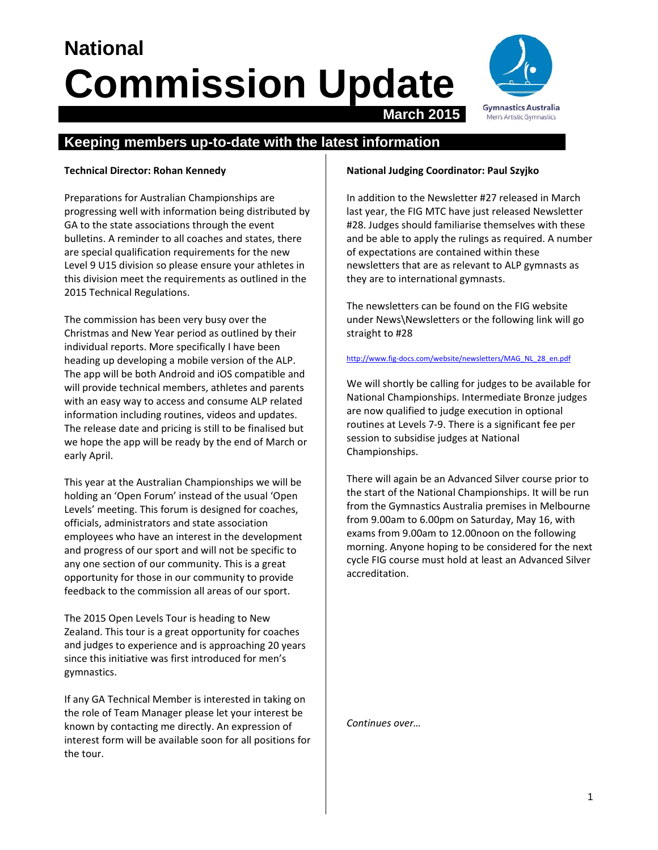# **National Commission Update March 2015**



# **Keeping members up-to-date with the latest information**

## **Technical Director: Rohan Kennedy**

Preparations for Australian Championships are progressing well with information being distributed by GA to the state associations through the event bulletins. A reminder to all coaches and states, there are special qualification requirements for the new Level 9 U15 division so please ensure your athletes in this division meet the requirements as outlined in the 2015 Technical Regulations.

The commission has been very busy over the Christmas and New Year period as outlined by their individual reports. More specifically I have been heading up developing a mobile version of the ALP. The app will be both Android and iOS compatible and will provide technical members, athletes and parents with an easy way to access and consume ALP related information including routines, videos and updates. The release date and pricing is still to be finalised but we hope the app will be ready by the end of March or early April.

This year at the Australian Championships we will be holding an 'Open Forum' instead of the usual 'Open Levels' meeting. This forum is designed for coaches, officials, administrators and state association employees who have an interest in the development and progress of our sport and will not be specific to any one section of our community. This is a great opportunity for those in our community to provide feedback to the commission all areas of our sport.

The 2015 Open Levels Tour is heading to New Zealand. This tour is a great opportunity for coaches and judges to experience and is approaching 20 years since this initiative was first introduced for men's gymnastics.

If any GA Technical Member is interested in taking on the role of Team Manager please let your interest be known by contacting me directly. An expression of interest form will be available soon for all positions for the tour.

### **National Judging Coordinator: Paul Szyjko**

In addition to the Newsletter #27 released in March last year, the FIG MTC have just released Newsletter #28. Judges should familiarise themselves with these and be able to apply the rulings as required. A number of expectations are contained within these newsletters that are as relevant to ALP gymnasts as they are to international gymnasts.

The newsletters can be found on the FIG website under News\Newsletters or the following link will go straight to #28

#### http://www.fig-docs.com/website/newsletters/MAG\_NL\_28\_en.pdf

We will shortly be calling for judges to be available for National Championships. Intermediate Bronze judges are now qualified to judge execution in optional routines at Levels 7‐9. There is a significant fee per session to subsidise judges at National Championships.

There will again be an Advanced Silver course prior to the start of the National Championships. It will be run from the Gymnastics Australia premises in Melbourne from 9.00am to 6.00pm on Saturday, May 16, with exams from 9.00am to 12.00noon on the following morning. Anyone hoping to be considered for the next cycle FIG course must hold at least an Advanced Silver accreditation.

*Continues over…*